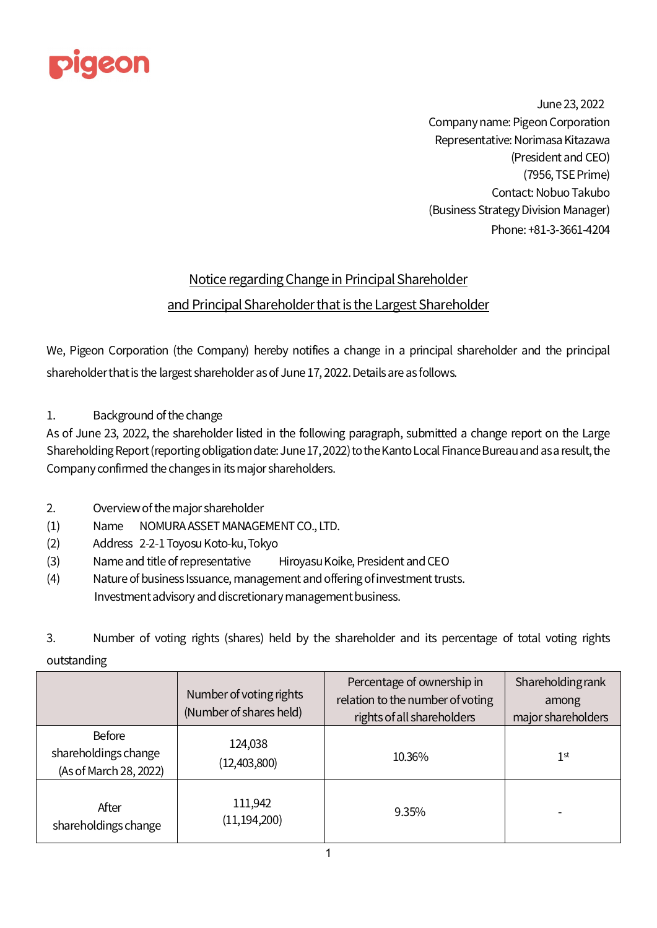

June 23, 2022 Company name: Pigeon Corporation Representative: Norimasa Kitazawa (President and CEO) (7956, TSE Prime) Contact: Nobuo Takubo (Business Strategy Division Manager) Phone: +81-3-3661-4204

## Notice regarding Change in Principal Shareholder and Principal Shareholder that is the Largest Shareholder

We, Pigeon Corporation (the Company) hereby notifies a change in a principal shareholder and the principal shareholder that is the largest shareholder as of June17, 2022. Details are as follows.

1. Background of the change

As of June 23, 2022, the shareholder listed in the following paragraph, submitted a change report on the Large Shareholding Report (reporting obligation date: June17, 2022) to the Kanto Local Finance Bureau and as a result, the Company confirmed the changes in its major shareholders.

- 2. Overview of the major shareholder
- (1) Name NOMURA ASSET MANAGEMENT CO., LTD.
- (2) Address 2-2-1 Toyosu Koto-ku, Tokyo
- (3) Name and title of representative Hiroyasu Koike, President and CEO
- (4) Nature of business Issuance, management and offering of investment trusts. Investment advisory and discretionary management business.
- 3. Number of voting rights (shares) held by the shareholder and its percentage of total voting rights outstanding

|                                                                 | Number of voting rights<br>(Number of shares held) | Percentage of ownership in<br>relation to the number of voting<br>rights of all shareholders | <b>Shareholding rank</b><br>among<br>major shareholders |
|-----------------------------------------------------------------|----------------------------------------------------|----------------------------------------------------------------------------------------------|---------------------------------------------------------|
| <b>Before</b><br>shareholdings change<br>(As of March 28, 2022) | 124,038<br>(12,403,800)                            | 10.36%                                                                                       | 1 <sup>st</sup>                                         |
| After<br>shareholdings change                                   | 111,942<br>(11, 194, 200)                          | 9.35%                                                                                        |                                                         |